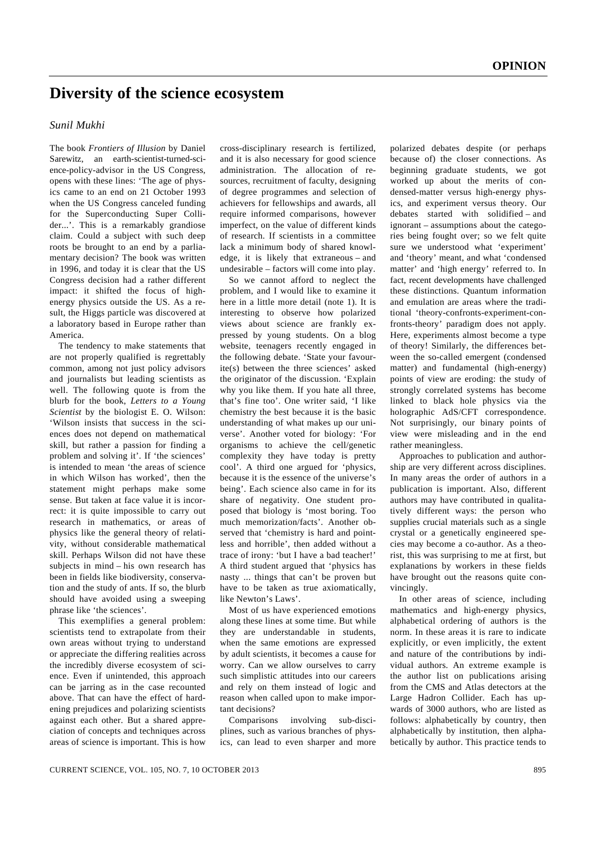## **Diversity of the science ecosystem**

## *Sunil Mukhi*

The book *Frontiers of Illusion* by Daniel Sarewitz, an earth-scientist-turned-science-policy-advisor in the US Congress, opens with these lines: 'The age of physics came to an end on 21 October 1993 when the US Congress canceled funding for the Superconducting Super Collider...'. This is a remarkably grandiose claim. Could a subject with such deep roots be brought to an end by a parliamentary decision? The book was written in 1996, and today it is clear that the US Congress decision had a rather different impact: it shifted the focus of highenergy physics outside the US. As a result, the Higgs particle was discovered at a laboratory based in Europe rather than America.

 The tendency to make statements that are not properly qualified is regrettably common, among not just policy advisors and journalists but leading scientists as well. The following quote is from the blurb for the book, *Letters to a Young Scientist* by the biologist E. O. Wilson: 'Wilson insists that success in the sciences does not depend on mathematical skill, but rather a passion for finding a problem and solving it'. If 'the sciences' is intended to mean 'the areas of science in which Wilson has worked', then the statement might perhaps make some sense. But taken at face value it is incorrect: it is quite impossible to carry out research in mathematics, or areas of physics like the general theory of relativity, without considerable mathematical skill. Perhaps Wilson did not have these subjects in mind – his own research has been in fields like biodiversity, conservation and the study of ants. If so, the blurb should have avoided using a sweeping phrase like 'the sciences'.

 This exemplifies a general problem: scientists tend to extrapolate from their own areas without trying to understand or appreciate the differing realities across the incredibly diverse ecosystem of science. Even if unintended, this approach can be jarring as in the case recounted above. That can have the effect of hardening prejudices and polarizing scientists against each other. But a shared appreciation of concepts and techniques across areas of science is important. This is how cross-disciplinary research is fertilized, and it is also necessary for good science administration. The allocation of resources, recruitment of faculty, designing of degree programmes and selection of achievers for fellowships and awards, all require informed comparisons, however imperfect, on the value of different kinds of research. If scientists in a committee lack a minimum body of shared knowledge, it is likely that extraneous – and undesirable – factors will come into play.

 So we cannot afford to neglect the problem, and I would like to examine it here in a little more detail (note 1). It is interesting to observe how polarized views about science are frankly expressed by young students. On a blog website, teenagers recently engaged in the following debate. 'State your favourite(s) between the three sciences' asked the originator of the discussion. 'Explain why you like them. If you hate all three, that's fine too'. One writer said, 'I like chemistry the best because it is the basic understanding of what makes up our universe'. Another voted for biology: 'For organisms to achieve the cell/genetic complexity they have today is pretty cool'. A third one argued for 'physics, because it is the essence of the universe's being'. Each science also came in for its share of negativity. One student proposed that biology is 'most boring. Too much memorization/facts'. Another observed that 'chemistry is hard and pointless and horrible', then added without a trace of irony: 'but I have a bad teacher!' A third student argued that 'physics has nasty ... things that can't be proven but have to be taken as true axiomatically, like Newton's Laws'.

 Most of us have experienced emotions along these lines at some time. But while they are understandable in students, when the same emotions are expressed by adult scientists, it becomes a cause for worry. Can we allow ourselves to carry such simplistic attitudes into our careers and rely on them instead of logic and reason when called upon to make important decisions?

 Comparisons involving sub-disciplines, such as various branches of physics, can lead to even sharper and more polarized debates despite (or perhaps because of) the closer connections. As beginning graduate students, we got worked up about the merits of condensed-matter versus high-energy physics, and experiment versus theory. Our debates started with solidified – and ignorant – assumptions about the categories being fought over; so we felt quite sure we understood what 'experiment' and 'theory' meant, and what 'condensed matter' and 'high energy' referred to. In fact, recent developments have challenged these distinctions. Quantum information and emulation are areas where the traditional 'theory-confronts-experiment-confronts-theory' paradigm does not apply. Here, experiments almost become a type of theory! Similarly, the differences between the so-called emergent (condensed matter) and fundamental (high-energy) points of view are eroding: the study of strongly correlated systems has become linked to black hole physics via the holographic AdS/CFT correspondence. Not surprisingly, our binary points of view were misleading and in the end rather meaningless.

 Approaches to publication and authorship are very different across disciplines. In many areas the order of authors in a publication is important. Also, different authors may have contributed in qualitatively different ways: the person who supplies crucial materials such as a single crystal or a genetically engineered species may become a co-author. As a theorist, this was surprising to me at first, but explanations by workers in these fields have brought out the reasons quite convincingly.

 In other areas of science, including mathematics and high-energy physics, alphabetical ordering of authors is the norm. In these areas it is rare to indicate explicitly, or even implicitly, the extent and nature of the contributions by individual authors. An extreme example is the author list on publications arising from the CMS and Atlas detectors at the Large Hadron Collider. Each has upwards of 3000 authors, who are listed as follows: alphabetically by country, then alphabetically by institution, then alphabetically by author. This practice tends to